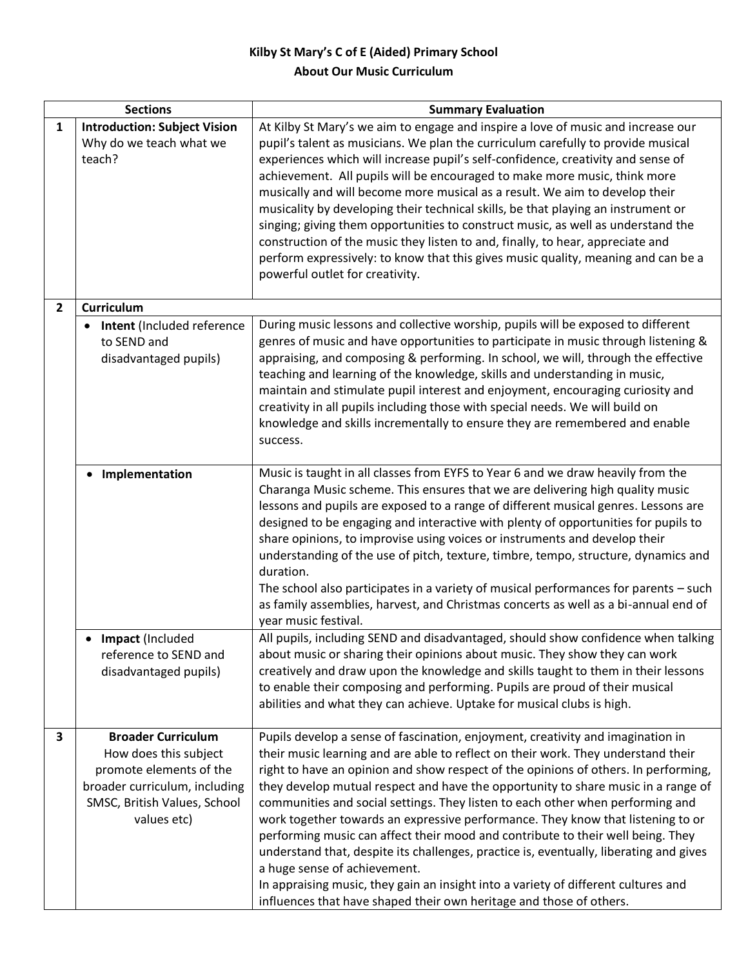## **Kilby St Mary's C of E (Aided) Primary School About Our Music Curriculum**

| <b>Sections</b>         |                                                                                                                                                               | <b>Summary Evaluation</b>                                                                                                                                                                                                                                                                                                                                                                                                                                                                                                                                                                                                                                                                                                                                                                                                                                                                       |
|-------------------------|---------------------------------------------------------------------------------------------------------------------------------------------------------------|-------------------------------------------------------------------------------------------------------------------------------------------------------------------------------------------------------------------------------------------------------------------------------------------------------------------------------------------------------------------------------------------------------------------------------------------------------------------------------------------------------------------------------------------------------------------------------------------------------------------------------------------------------------------------------------------------------------------------------------------------------------------------------------------------------------------------------------------------------------------------------------------------|
| $\mathbf{1}$            | <b>Introduction: Subject Vision</b><br>Why do we teach what we<br>teach?                                                                                      | At Kilby St Mary's we aim to engage and inspire a love of music and increase our<br>pupil's talent as musicians. We plan the curriculum carefully to provide musical<br>experiences which will increase pupil's self-confidence, creativity and sense of<br>achievement. All pupils will be encouraged to make more music, think more<br>musically and will become more musical as a result. We aim to develop their<br>musicality by developing their technical skills, be that playing an instrument or<br>singing; giving them opportunities to construct music, as well as understand the<br>construction of the music they listen to and, finally, to hear, appreciate and<br>perform expressively: to know that this gives music quality, meaning and can be a<br>powerful outlet for creativity.                                                                                         |
| $\overline{2}$          | Curriculum                                                                                                                                                    |                                                                                                                                                                                                                                                                                                                                                                                                                                                                                                                                                                                                                                                                                                                                                                                                                                                                                                 |
|                         | Intent (Included reference<br>to SEND and<br>disadvantaged pupils)                                                                                            | During music lessons and collective worship, pupils will be exposed to different<br>genres of music and have opportunities to participate in music through listening &<br>appraising, and composing & performing. In school, we will, through the effective<br>teaching and learning of the knowledge, skills and understanding in music,<br>maintain and stimulate pupil interest and enjoyment, encouraging curiosity and<br>creativity in all pupils including those with special needs. We will build on<br>knowledge and skills incrementally to ensure they are remembered and enable<br>success.                                                                                                                                                                                                                                                                                         |
|                         | Implementation                                                                                                                                                | Music is taught in all classes from EYFS to Year 6 and we draw heavily from the<br>Charanga Music scheme. This ensures that we are delivering high quality music<br>lessons and pupils are exposed to a range of different musical genres. Lessons are<br>designed to be engaging and interactive with plenty of opportunities for pupils to<br>share opinions, to improvise using voices or instruments and develop their<br>understanding of the use of pitch, texture, timbre, tempo, structure, dynamics and<br>duration.<br>The school also participates in a variety of musical performances for parents - such<br>as family assemblies, harvest, and Christmas concerts as well as a bi-annual end of<br>year music festival.                                                                                                                                                            |
|                         | • Impact (Included<br>reference to SEND and<br>disadvantaged pupils)                                                                                          | All pupils, including SEND and disadvantaged, should show confidence when talking<br>about music or sharing their opinions about music. They show they can work<br>creatively and draw upon the knowledge and skills taught to them in their lessons<br>to enable their composing and performing. Pupils are proud of their musical<br>abilities and what they can achieve. Uptake for musical clubs is high.                                                                                                                                                                                                                                                                                                                                                                                                                                                                                   |
| $\overline{\mathbf{3}}$ | <b>Broader Curriculum</b><br>How does this subject<br>promote elements of the<br>broader curriculum, including<br>SMSC, British Values, School<br>values etc) | Pupils develop a sense of fascination, enjoyment, creativity and imagination in<br>their music learning and are able to reflect on their work. They understand their<br>right to have an opinion and show respect of the opinions of others. In performing,<br>they develop mutual respect and have the opportunity to share music in a range of<br>communities and social settings. They listen to each other when performing and<br>work together towards an expressive performance. They know that listening to or<br>performing music can affect their mood and contribute to their well being. They<br>understand that, despite its challenges, practice is, eventually, liberating and gives<br>a huge sense of achievement.<br>In appraising music, they gain an insight into a variety of different cultures and<br>influences that have shaped their own heritage and those of others. |